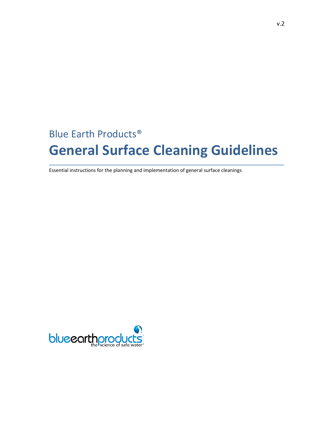# Blue Earth Products® **General Surface Cleaning Guidelines**

Essential instructions for the planning and implementation of general surface cleanings

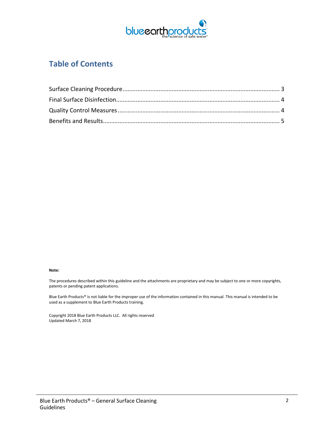

#### **Table of Contents**

#### **Note:**

The procedures described within this guideline and the attachments are proprietary and may be subject to one or more copyrights, patents or pending patent applications.

Blue Earth Products® is not liable for the improper use of the information contained in this manual. This manual is intended to be used as a supplement to Blue Earth Products training.

Copyright 2018 Blue Earth Products LLC. All rights reserved Updated March 7, 2018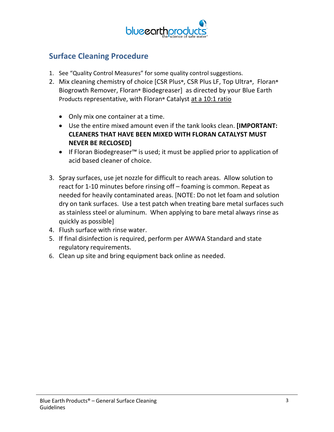

## **Surface Cleaning Procedure**

- 1. See "Quality Control Measures" for some quality control suggestions.
- 2. Mix cleaning chemistry of choice [CSR Plus**®**, CSR Plus LF, Top Ultra**®**, Floran**®** Biogrowth Remover, Floran**®** Biodegreaser] as directed by your Blue Earth Products representative, with Floran**®** Catalyst at a 10:1 ratio
	- Only mix one container at a time.
	- Use the entire mixed amount even if the tank looks clean. **[IMPORTANT: CLEANERS THAT HAVE BEEN MIXED WITH FLORAN CATALYST MUST NEVER BE RECLOSED]**
	- If Floran Biodegreaser™ is used; it must be applied prior to application of acid based cleaner of choice.
- 3. Spray surfaces, use jet nozzle for difficult to reach areas. Allow solution to react for 1-10 minutes before rinsing off – foaming is common. Repeat as needed for heavily contaminated areas. [NOTE: Do not let foam and solution dry on tank surfaces. Use a test patch when treating bare metal surfaces such as stainless steel or aluminum. When applying to bare metal always rinse as quickly as possible]
- 4. Flush surface with rinse water.
- 5. If final disinfection is required, perform per AWWA Standard and state regulatory requirements.
- 6. Clean up site and bring equipment back online as needed.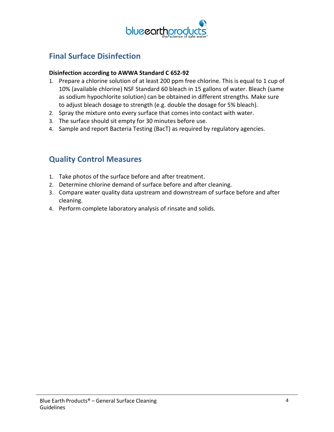

## **Final Surface Disinfection**

#### **Disinfection according to AWWA Standard C 652‐92**

- 1. Prepare a chlorine solution of at least 200 ppm free chlorine. This is equal to 1 cup of 10% (available chlorine) NSF Standard 60 bleach in 15 gallons of water. Bleach (same as sodium hypochlorite solution) can be obtained in different strengths. Make sure to adjust bleach dosage to strength (e.g. double the dosage for 5% bleach).
- 2. Spray the mixture onto every surface that comes into contact with water.
- 3. The surface should sit empty for 30 minutes before use.
- 4. Sample and report Bacteria Testing (BacT) as required by regulatory agencies.

#### **Quality Control Measures**

- 1. Take photos of the surface before and after treatment.
- 2. Determine chlorine demand of surface before and after cleaning.
- 3. Compare water quality data upstream and downstream of surface before and after cleaning.
- 4. Perform complete laboratory analysis of rinsate and solids.